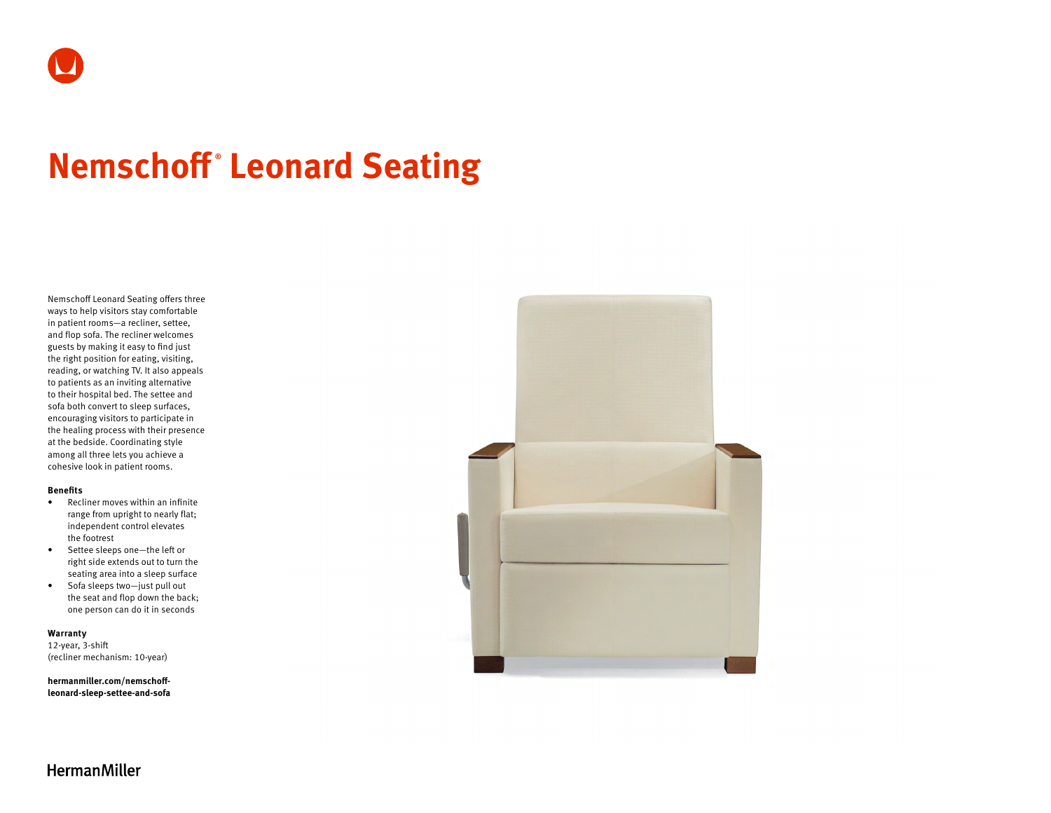# **Nemschoff ® Leonard Seating**

Nemschoff Leonard Seating offers three ways to help visitors stay comfortable in patient rooms—a recliner, settee, and flop sofa. The recliner welcomes guests by making it easy to find just the right position for eating, visiting, reading, or watching TV. It also appeals to patients as an inviting alternative to their hospital bed. The settee and sofa both convert to sleep surfaces, encouraging visitors to participate in the healing process with their presence at the bedside. Coordinating style among all three lets you achieve a cohesive look in patient rooms.

#### **Benefits**

- Recliner moves within an infinite range from upright to nearly flat; independent control elevates the footrest
- Settee sleeps one—the left or right side extends out to turn the seating area into a sleep surface
- Sofa sleeps two—just pull out the seat and flop down the back; one person can do it in seconds

### **Warranty**

12-year, 3-shift (recliner mechanism: 10-year)

**[hermanmiller.com/nemschoff](http://hermanmiller.com/nemschoff-leonard-sleep-settee-and-sofa)[leonard-sleep-settee-and-sofa](http://hermanmiller.com/nemschoff-leonard-sleep-settee-and-sofa)**



**HermanMiller**